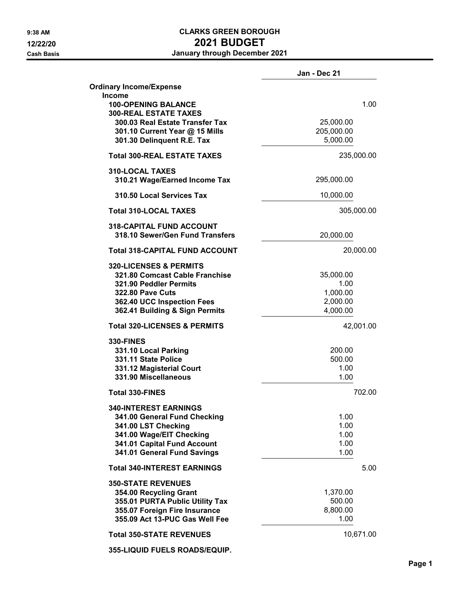# 9:38 AM CLARKS GREEN BOROUGH 12/22/20 2021 BUDGET

Cash Basis January through December 2021

|                                                                             | Jan - Dec 21      |      |
|-----------------------------------------------------------------------------|-------------------|------|
| <b>Ordinary Income/Expense</b>                                              |                   |      |
| <b>Income</b><br><b>100-OPENING BALANCE</b><br><b>300-REAL ESTATE TAXES</b> |                   | 1.00 |
| 300.03 Real Estate Transfer Tax                                             | 25,000.00         |      |
| 301.10 Current Year @ 15 Mills                                              | 205,000.00        |      |
| 301.30 Delinquent R.E. Tax                                                  | 5,000.00          |      |
| <b>Total 300-REAL ESTATE TAXES</b>                                          | 235,000.00        |      |
| <b>310-LOCAL TAXES</b><br>310.21 Wage/Earned Income Tax                     | 295,000.00        |      |
| 310.50 Local Services Tax                                                   | 10,000.00         |      |
| <b>Total 310-LOCAL TAXES</b>                                                | 305,000.00        |      |
| <b>318-CAPITAL FUND ACCOUNT</b>                                             |                   |      |
| 318.10 Sewer/Gen Fund Transfers                                             | 20,000.00         |      |
| <b>Total 318-CAPITAL FUND ACCOUNT</b>                                       | 20,000.00         |      |
| <b>320-LICENSES &amp; PERMITS</b>                                           |                   |      |
| 321.80 Comcast Cable Franchise                                              | 35,000.00<br>1.00 |      |
| 321.90 Peddler Permits<br><b>322.80 Pave Cuts</b>                           | 1,000.00          |      |
| 362.40 UCC Inspection Fees                                                  | 2,000.00          |      |
| 362.41 Building & Sign Permits                                              | 4,000.00          |      |
| <b>Total 320-LICENSES &amp; PERMITS</b>                                     | 42,001.00         |      |
| <b>330-FINES</b>                                                            |                   |      |
| 331.10 Local Parking                                                        | 200.00            |      |
| 331.11 State Police                                                         | 500.00            |      |
| 331.12 Magisterial Court                                                    | 1.00              |      |
| 331.90 Miscellaneous                                                        | 1.00              |      |
| <b>Total 330-FINES</b>                                                      | 702.00            |      |
| <b>340-INTEREST EARNINGS</b>                                                |                   |      |
| 341.00 General Fund Checking                                                | 1.00<br>1.00      |      |
| 341.00 LST Checking<br>341.00 Wage/EIT Checking                             | 1.00              |      |
| 341.01 Capital Fund Account                                                 | 1.00              |      |
| 341.01 General Fund Savings                                                 | 1.00              |      |
| <b>Total 340-INTEREST EARNINGS</b>                                          |                   | 5.00 |
| <b>350-STATE REVENUES</b>                                                   |                   |      |
| 354.00 Recycling Grant                                                      | 1,370.00          |      |
| 355.01 PURTA Public Utility Tax                                             | 500.00            |      |
| 355.07 Foreign Fire Insurance                                               | 8,800.00          |      |
| 355.09 Act 13-PUC Gas Well Fee                                              | 1.00              |      |
| <b>Total 350-STATE REVENUES</b>                                             | 10,671.00         |      |
| 355-LIQUID FUELS ROADS/EQUIP.                                               |                   |      |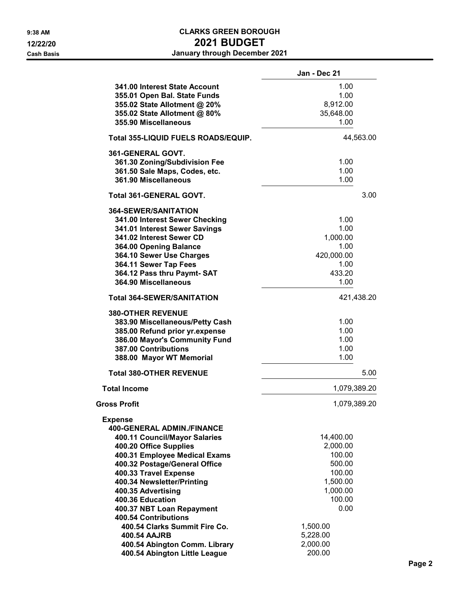|                                     | Jan - Dec 21 |
|-------------------------------------|--------------|
| 341.00 Interest State Account       | 1.00         |
| 355.01 Open Bal. State Funds        | 1.00         |
| 355.02 State Allotment @ 20%        | 8,912.00     |
| 355.02 State Allotment @ 80%        | 35,648.00    |
| 355.90 Miscellaneous                | 1.00         |
| Total 355-LIQUID FUELS ROADS/EQUIP. | 44,563.00    |
| 361-GENERAL GOVT.                   |              |
| 361.30 Zoning/Subdivision Fee       | 1.00         |
| 361.50 Sale Maps, Codes, etc.       | 1.00         |
| 361.90 Miscellaneous                | 1.00         |
|                                     |              |
| <b>Total 361-GENERAL GOVT.</b>      | 3.00         |
| <b>364-SEWER/SANITATION</b>         |              |
| 341.00 Interest Sewer Checking      | 1.00         |
| 341.01 Interest Sewer Savings       | 1.00         |
| 341.02 Interest Sewer CD            | 1,000.00     |
| 364.00 Opening Balance              | 1.00         |
| 364.10 Sewer Use Charges            | 420,000.00   |
| 364.11 Sewer Tap Fees               | 1.00         |
| 364.12 Pass thru Paymt-SAT          | 433.20       |
| 364.90 Miscellaneous                | 1.00         |
| <b>Total 364-SEWER/SANITATION</b>   | 421,438.20   |
| <b>380-OTHER REVENUE</b>            |              |
| 383.90 Miscellaneous/Petty Cash     | 1.00         |
| 385.00 Refund prior yr.expense      | 1.00         |
| 386.00 Mayor's Community Fund       | 1.00         |
| 387.00 Contributions                | 1.00         |
| 388.00 Mayor WT Memorial            | 1.00         |
| <b>Total 380-OTHER REVENUE</b>      | 5.00         |
| <b>Total Income</b>                 | 1,079,389.20 |
| Gross Profit                        | 1,079,389.20 |
| <b>Expense</b>                      |              |
| <b>400-GENERAL ADMIN./FINANCE</b>   |              |
| 400.11 Council/Mayor Salaries       | 14,400.00    |
| 400.20 Office Supplies              | 2,000.00     |
| 400.31 Employee Medical Exams       | 100.00       |
| 400.32 Postage/General Office       | 500.00       |
| 400.33 Travel Expense               | 100.00       |
| 400.34 Newsletter/Printing          | 1,500.00     |
| 400.35 Advertising                  | 1,000.00     |
| 400.36 Education                    | 100.00       |
| 400.37 NBT Loan Repayment           | 0.00         |
| 400.54 Contributions                |              |
| 400.54 Clarks Summit Fire Co.       | 1,500.00     |
| 400.54 AAJRB                        | 5,228.00     |
| 400.54 Abington Comm. Library       | 2,000.00     |
| 400.54 Abington Little League       | 200.00       |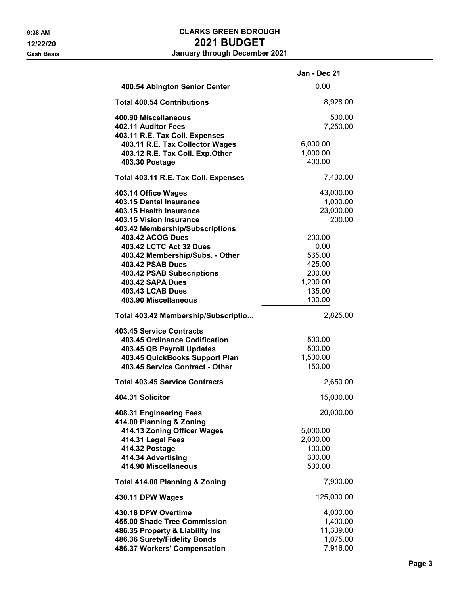|                                                                                                                                                                                               | Jan - Dec 21                                                    |
|-----------------------------------------------------------------------------------------------------------------------------------------------------------------------------------------------|-----------------------------------------------------------------|
| 400.54 Abington Senior Center                                                                                                                                                                 | 0.00                                                            |
| <b>Total 400.54 Contributions</b>                                                                                                                                                             | 8,928.00                                                        |
| 400.90 Miscellaneous<br>402.11 Auditor Fees<br>403.11 R.E. Tax Coll. Expenses                                                                                                                 | 500.00<br>7,250.00                                              |
| 403.11 R.E. Tax Collector Wages<br>403.12 R.E. Tax Coll. Exp.Other<br>403.30 Postage                                                                                                          | 6,000.00<br>1,000.00<br>400.00                                  |
| Total 403.11 R.E. Tax Coll. Expenses                                                                                                                                                          | 7,400.00                                                        |
| 403.14 Office Wages<br>403.15 Dental Insurance<br>403.15 Health Insurance<br>403.15 Vision Insurance<br>403.42 Membership/Subscriptions<br><b>403.42 ACOG Dues</b><br>403.42 LCTC Act 32 Dues | 43,000.00<br>1,000.00<br>23,000.00<br>200.00<br>200.00<br>0.00  |
| 403.42 Membership/Subs. - Other<br><b>403.42 PSAB Dues</b><br><b>403.42 PSAB Subscriptions</b><br><b>403.42 SAPA Dues</b><br>403.43 LCAB Dues<br>403.90 Miscellaneous                         | 565.00<br>425.00<br>200.00<br>1,200.00<br>135.00<br>100.00      |
| Total 403.42 Membership/Subscriptio                                                                                                                                                           | 2,825.00                                                        |
| 403.45 Service Contracts<br>403.45 Ordinance Codification<br>403.45 QB Payroll Updates<br>403.45 QuickBooks Support Plan<br>403.45 Service Contract - Other                                   | 500.00<br>500.00<br>1,500.00<br>150.00                          |
| <b>Total 403.45 Service Contracts</b>                                                                                                                                                         | 2,650.00                                                        |
| 404.31 Solicitor                                                                                                                                                                              | 15,000.00                                                       |
| 408.31 Engineering Fees<br>414.00 Planning & Zoning<br>414.13 Zoning Officer Wages<br>414.31 Legal Fees<br>414.32 Postage<br>414.34 Advertising<br>414.90 Miscellaneous                       | 20,000.00<br>5,000.00<br>2,000.00<br>100.00<br>300.00<br>500.00 |
| Total 414.00 Planning & Zoning                                                                                                                                                                | 7,900.00                                                        |
| 430.11 DPW Wages                                                                                                                                                                              | 125,000.00                                                      |
| 430.18 DPW Overtime<br>455.00 Shade Tree Commission<br>486.35 Property & Liability Ins<br>486.36 Surety/Fidelity Bonds<br>486.37 Workers' Compensation                                        | 4,000.00<br>1,400.00<br>11,339.00<br>1,075.00<br>7,916.00       |

 $\overline{\phantom{0}}$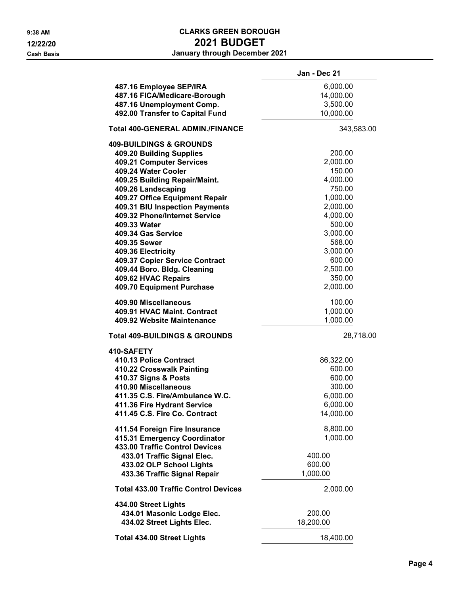|                                             | Jan - Dec 21 |
|---------------------------------------------|--------------|
| 487.16 Employee SEP/IRA                     | 6,000.00     |
| 487.16 FICA/Medicare-Borough                | 14,000.00    |
| 487.16 Unemployment Comp.                   | 3,500.00     |
| 492.00 Transfer to Capital Fund             | 10,000.00    |
| <b>Total 400-GENERAL ADMIN./FINANCE</b>     | 343,583.00   |
|                                             |              |
| <b>409-BUILDINGS &amp; GROUNDS</b>          |              |
| 409.20 Building Supplies                    | 200.00       |
| 409.21 Computer Services                    | 2,000.00     |
| 409.24 Water Cooler                         | 150.00       |
| 409.25 Building Repair/Maint.               | 4,000.00     |
| 409.26 Landscaping                          | 750.00       |
| 409.27 Office Equipment Repair              | 1,000.00     |
| 409.31 BIU Inspection Payments              | 2,000.00     |
| 409.32 Phone/Internet Service               | 4,000.00     |
| 409.33 Water                                | 500.00       |
| 409.34 Gas Service                          | 3,000.00     |
| 409.35 Sewer                                | 568.00       |
| 409.36 Electricity                          | 3,000.00     |
| 409.37 Copier Service Contract              | 600.00       |
| 409.44 Boro. Bldg. Cleaning                 | 2,500.00     |
| 409.62 HVAC Repairs                         | 350.00       |
| 409.70 Equipment Purchase                   | 2,000.00     |
| 409.90 Miscellaneous                        | 100.00       |
| 409.91 HVAC Maint. Contract                 | 1,000.00     |
| 409.92 Website Maintenance                  | 1,000.00     |
| <b>Total 409-BUILDINGS &amp; GROUNDS</b>    | 28,718.00    |
| 410-SAFETY                                  |              |
| 410.13 Police Contract                      | 86,322.00    |
| 410.22 Crosswalk Painting                   | 600.00       |
| 410.37 Signs & Posts                        | 600.00       |
| 410.90 Miscellaneous                        | 300.00       |
| 411.35 C.S. Fire/Ambulance W.C.             | 6,000.00     |
| 411.36 Fire Hydrant Service                 | 6,000.00     |
| 411.45 C.S. Fire Co. Contract               | 14,000.00    |
| 411.54 Foreign Fire Insurance               | 8,800.00     |
| 415.31 Emergency Coordinator                | 1,000.00     |
| 433.00 Traffic Control Devices              |              |
| 433.01 Traffic Signal Elec.                 | 400.00       |
| 433.02 OLP School Lights                    | 600.00       |
| 433.36 Traffic Signal Repair                | 1,000.00     |
| <b>Total 433.00 Traffic Control Devices</b> | 2,000.00     |
| 434.00 Street Lights                        |              |
| 434.01 Masonic Lodge Elec.                  | 200.00       |
| 434.02 Street Lights Elec.                  | 18,200.00    |
| <b>Total 434.00 Street Lights</b>           | 18,400.00    |
|                                             |              |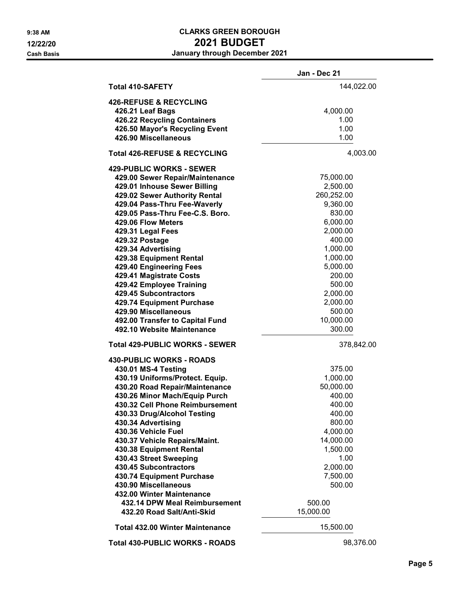|                                         | Jan - Dec 21 |
|-----------------------------------------|--------------|
| <b>Total 410-SAFETY</b>                 | 144,022.00   |
| <b>426-REFUSE &amp; RECYCLING</b>       |              |
| 426.21 Leaf Bags                        | 4,000.00     |
| 426.22 Recycling Containers             | 1.00         |
| 426.50 Mayor's Recycling Event          | 1.00         |
| 426.90 Miscellaneous                    | 1.00         |
| <b>Total 426-REFUSE &amp; RECYCLING</b> | 4,003.00     |
| <b>429-PUBLIC WORKS - SEWER</b>         |              |
| 429.00 Sewer Repair/Maintenance         | 75,000.00    |
| 429.01 Inhouse Sewer Billing            | 2,500.00     |
| 429.02 Sewer Authority Rental           | 260,252.00   |
| 429.04 Pass-Thru Fee-Waverly            | 9,360.00     |
| 429.05 Pass-Thru Fee-C.S. Boro.         | 830.00       |
| 429.06 Flow Meters                      | 6,000.00     |
| 429.31 Legal Fees                       | 2,000.00     |
| 429.32 Postage                          | 400.00       |
| 429.34 Advertising                      | 1,000.00     |
| 429.38 Equipment Rental                 | 1,000.00     |
| 429.40 Engineering Fees                 | 5,000.00     |
| 429.41 Magistrate Costs                 | 200.00       |
| 429.42 Employee Training                | 500.00       |
| 429.45 Subcontractors                   | 2,000.00     |
| 429.74 Equipment Purchase               | 2,000.00     |
| 429.90 Miscellaneous                    | 500.00       |
| 492.00 Transfer to Capital Fund         | 10,000.00    |
| 492.10 Website Maintenance              | 300.00       |
| <b>Total 429-PUBLIC WORKS - SEWER</b>   | 378,842.00   |
| <b>430-PUBLIC WORKS - ROADS</b>         |              |
| 430.01 MS-4 Testing                     | 375.00       |
| 430.19 Uniforms/Protect. Equip.         | 1,000.00     |
| 430.20 Road Repair/Maintenance          | 50,000.00    |
| 430.26 Minor Mach/Equip Purch           | 400.00       |
| 430.32 Cell Phone Reimbursement         | 400.00       |
| 430.33 Drug/Alcohol Testing             | 400.00       |
| 430.34 Advertising                      | 800.00       |
| 430.36 Vehicle Fuel                     | 4,000.00     |
| 430.37 Vehicle Repairs/Maint.           | 14,000.00    |
| 430.38 Equipment Rental                 | 1,500.00     |
| 430.43 Street Sweeping                  | 1.00         |
| 430.45 Subcontractors                   | 2,000.00     |
| 430.74 Equipment Purchase               | 7,500.00     |
| 430.90 Miscellaneous                    | 500.00       |
| 432.00 Winter Maintenance               |              |
| 432.14 DPW Meal Reimbursement           | 500.00       |
| 432.20 Road Salt/Anti-Skid              | 15,000.00    |
| <b>Total 432.00 Winter Maintenance</b>  | 15,500.00    |
| <b>Total 430-PUBLIC WORKS - ROADS</b>   | 98,376.00    |